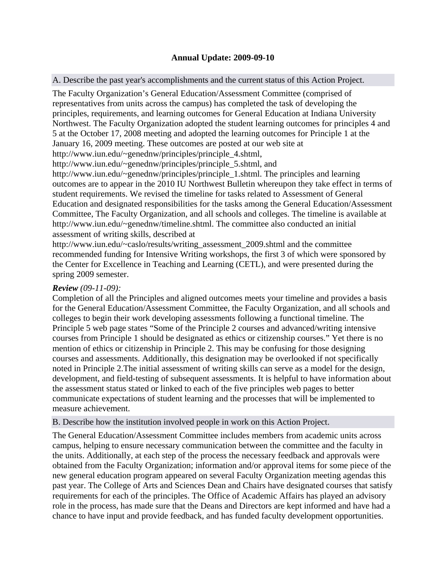# **Annual Update: 2009-09-10**

A. Describe the past year's accomplishments and the current status of this Action Project.

The Faculty Organization's General Education/Assessment Committee (comprised of representatives from units across the campus) has completed the task of developing the principles, requirements, and learning outcomes for General Education at Indiana University Northwest. The Faculty Organization adopted the student learning outcomes for principles 4 and 5 at the October 17, 2008 meeting and adopted the learning outcomes for Principle 1 at the January 16, 2009 meeting. These outcomes are posted at our web site at

http://www.iun.edu/~genednw/principles/principle\_4.shtml,

http://www.iun.edu/~genednw/principles/principle\_5.shtml, and

http://www.iun.edu/~genednw/principles/principle\_1.shtml. The principles and learning outcomes are to appear in the 2010 IU Northwest Bulletin whereupon they take effect in terms of student requirements. We revised the timeline for tasks related to Assessment of General Education and designated responsibilities for the tasks among the General Education/Assessment Committee, The Faculty Organization, and all schools and colleges. The timeline is available at http://www.iun.edu/~genednw/timeline.shtml. The committee also conducted an initial assessment of writing skills, described at

http://www.iun.edu/~caslo/results/writing\_assessment\_2009.shtml and the committee recommended funding for Intensive Writing workshops, the first 3 of which were sponsored by the Center for Excellence in Teaching and Learning (CETL), and were presented during the spring 2009 semester.

## *Review (09-11-09):*

Completion of all the Principles and aligned outcomes meets your timeline and provides a basis for the General Education/Assessment Committee, the Faculty Organization, and all schools and colleges to begin their work developing assessments following a functional timeline. The Principle 5 web page states "Some of the Principle 2 courses and advanced/writing intensive courses from Principle 1 should be designated as ethics or citizenship courses." Yet there is no mention of ethics or citizenship in Principle 2. This may be confusing for those designing courses and assessments. Additionally, this designation may be overlooked if not specifically noted in Principle 2.The initial assessment of writing skills can serve as a model for the design, development, and field-testing of subsequent assessments. It is helpful to have information about the assessment status stated or linked to each of the five principles web pages to better communicate expectations of student learning and the processes that will be implemented to measure achievement.

### B. Describe how the institution involved people in work on this Action Project.

The General Education/Assessment Committee includes members from academic units across campus, helping to ensure necessary communication between the committee and the faculty in the units. Additionally, at each step of the process the necessary feedback and approvals were obtained from the Faculty Organization; information and/or approval items for some piece of the new general education program appeared on several Faculty Organization meeting agendas this past year. The College of Arts and Sciences Dean and Chairs have designated courses that satisfy requirements for each of the principles. The Office of Academic Affairs has played an advisory role in the process, has made sure that the Deans and Directors are kept informed and have had a chance to have input and provide feedback, and has funded faculty development opportunities.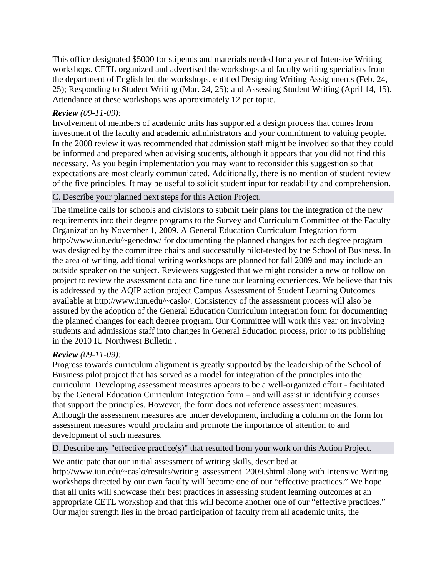This office designated \$5000 for stipends and materials needed for a year of Intensive Writing workshops. CETL organized and advertised the workshops and faculty writing specialists from the department of English led the workshops, entitled Designing Writing Assignments (Feb. 24, 25); Responding to Student Writing (Mar. 24, 25); and Assessing Student Writing (April 14, 15). Attendance at these workshops was approximately 12 per topic.

#### *Review (09-11-09):*

Involvement of members of academic units has supported a design process that comes from investment of the faculty and academic administrators and your commitment to valuing people. In the 2008 review it was recommended that admission staff might be involved so that they could be informed and prepared when advising students, although it appears that you did not find this necessary. As you begin implementation you may want to reconsider this suggestion so that expectations are most clearly communicated. Additionally, there is no mention of student review of the five principles. It may be useful to solicit student input for readability and comprehension.

### C. Describe your planned next steps for this Action Project.

The timeline calls for schools and divisions to submit their plans for the integration of the new requirements into their degree programs to the Survey and Curriculum Committee of the Faculty Organization by November 1, 2009. A General Education Curriculum Integration form http://www.iun.edu/~genednw/ for documenting the planned changes for each degree program was designed by the committee chairs and successfully pilot-tested by the School of Business. In the area of writing, additional writing workshops are planned for fall 2009 and may include an outside speaker on the subject. Reviewers suggested that we might consider a new or follow on project to review the assessment data and fine tune our learning experiences. We believe that this is addressed by the AQIP action project Campus Assessment of Student Learning Outcomes available at http://www.iun.edu/~caslo/. Consistency of the assessment process will also be assured by the adoption of the General Education Curriculum Integration form for documenting the planned changes for each degree program. Our Committee will work this year on involving students and admissions staff into changes in General Education process, prior to its publishing in the 2010 IU Northwest Bulletin .

#### *Review (09-11-09):*

Progress towards curriculum alignment is greatly supported by the leadership of the School of Business pilot project that has served as a model for integration of the principles into the curriculum. Developing assessment measures appears to be a well-organized effort - facilitated by the General Education Curriculum Integration form – and will assist in identifying courses that support the principles. However, the form does not reference assessment measures. Although the assessment measures are under development, including a column on the form for assessment measures would proclaim and promote the importance of attention to and development of such measures.

D. Describe any "effective practice(s)" that resulted from your work on this Action Project.

We anticipate that our initial assessment of writing skills, described at http://www.iun.edu/~caslo/results/writing\_assessment\_2009.shtml along with Intensive Writing workshops directed by our own faculty will become one of our "effective practices." We hope that all units will showcase their best practices in assessing student learning outcomes at an appropriate CETL workshop and that this will become another one of our "effective practices." Our major strength lies in the broad participation of faculty from all academic units, the